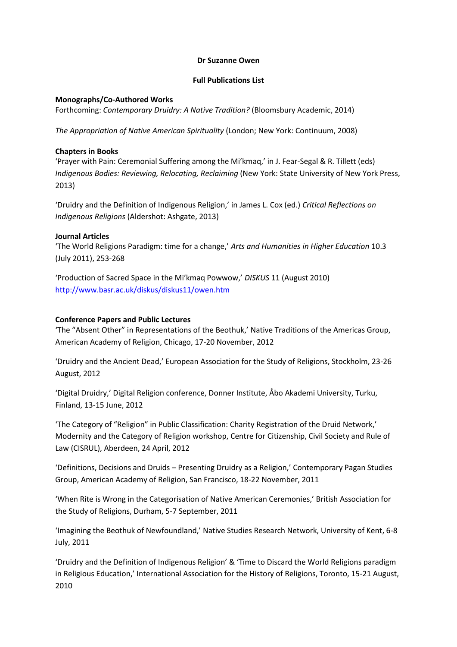#### **Dr Suzanne Owen**

## **Full Publications List**

## **Monographs/Co-Authored Works**

Forthcoming: *Contemporary Druidry: A Native Tradition?* (Bloomsbury Academic, 2014)

*The Appropriation of Native American Spirituality* (London; New York: Continuum, 2008)

## **Chapters in Books**

'Prayer with Pain: Ceremonial Suffering among the Mi'kmaq,' in J. Fear-Segal & R. Tillett (eds) *Indigenous Bodies: Reviewing, Relocating, Reclaiming* (New York: State University of New York Press, 2013)

'Druidry and the Definition of Indigenous Religion,' in James L. Cox (ed.) *Critical Reflections on Indigenous Religions* (Aldershot: Ashgate, 2013)

## **Journal Articles**

'The World Religions Paradigm: time for a change,' *Arts and Humanities in Higher Education* 10.3 (July 2011), 253-268

'Production of Sacred Space in the Mi'kmaq Powwow,' *DISKUS* 11 (August 2010) <http://www.basr.ac.uk/diskus/diskus11/owen.htm>

# **Conference Papers and Public Lectures**

'The "Absent Other" in Representations of the Beothuk,' Native Traditions of the Americas Group, American Academy of Religion, Chicago, 17-20 November, 2012

'Druidry and the Ancient Dead,' European Association for the Study of Religions, Stockholm, 23-26 August, 2012

'Digital Druidry,' Digital Religion conference, Donner Institute, Åbo Akademi University, Turku, Finland, 13-15 June, 2012

'The Category of "Religion" in Public Classification: Charity Registration of the Druid Network,' Modernity and the Category of Religion workshop, Centre for Citizenship, Civil Society and Rule of Law (CISRUL), Aberdeen, 24 April, 2012

'Definitions, Decisions and Druids – Presenting Druidry as a Religion,' Contemporary Pagan Studies Group, American Academy of Religion, San Francisco, 18-22 November, 2011

'When Rite is Wrong in the Categorisation of Native American Ceremonies,' British Association for the Study of Religions, Durham, 5-7 September, 2011

'Imagining the Beothuk of Newfoundland,' Native Studies Research Network, University of Kent, 6-8 July, 2011

'Druidry and the Definition of Indigenous Religion' & 'Time to Discard the World Religions paradigm in Religious Education,' International Association for the History of Religions, Toronto, 15-21 August, 2010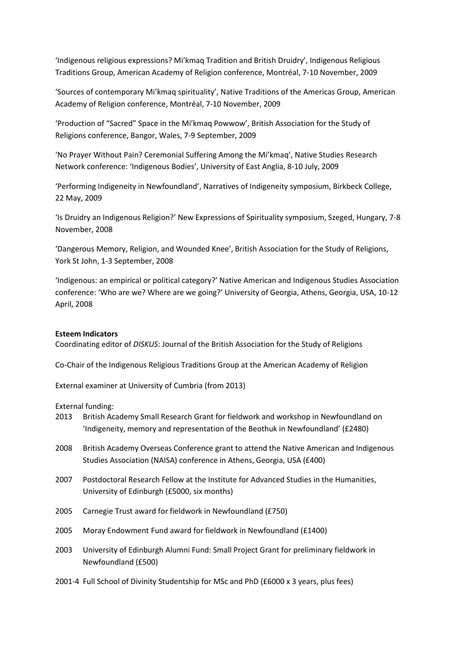'Indigenous religious expressions? Mi'kmaq Tradition and British Druidry', Indigenous Religious Traditions Group, American Academy of Religion conference, Montréal, 7-10 November, 2009

'Sources of contemporary Mi'kmaq spirituality', Native Traditions of the Americas Group, American Academy of Religion conference, Montréal, 7-10 November, 2009

'Production of "Sacred" Space in the Mi'kmaq Powwow', British Association for the Study of Religions conference, Bangor, Wales, 7-9 September, 2009

'No Prayer Without Pain? Ceremonial Suffering Among the Mi'kmaq', Native Studies Research Network conference: 'Indigenous Bodies', University of East Anglia, 8-10 July, 2009

'Performing Indigeneity in Newfoundland', Narratives of Indigeneity symposium, Birkbeck College, 22 May, 2009

'Is Druidry an Indigenous Religion?' New Expressions of Spirituality symposium, Szeged, Hungary, 7-8 November, 2008

'Dangerous Memory, Religion, and Wounded Knee', British Association for the Study of Religions, York St John, 1-3 September, 2008

'Indigenous: an empirical or political category?' Native American and Indigenous Studies Association conference: 'Who are we? Where are we going?' University of Georgia, Athens, Georgia, USA, 10-12 April, 2008

#### **Esteem Indicators**

Coordinating editor of *DISKUS*: Journal of the British Association for the Study of Religions

Co-Chair of the Indigenous Religious Traditions Group at the American Academy of Religion

External examiner at University of Cumbria (from 2013)

External funding:

- 2013 British Academy Small Research Grant for fieldwork and workshop in Newfoundland on 'Indigeneity, memory and representation of the Beothuk in Newfoundland' (£2480)
- 2008 British Academy Overseas Conference grant to attend the Native American and Indigenous Studies Association (NAISA) conference in Athens, Georgia, USA (£400)
- 2007 Postdoctoral Research Fellow at the Institute for Advanced Studies in the Humanities, University of Edinburgh (£5000, six months)
- 2005 Carnegie Trust award for fieldwork in Newfoundland (£750)
- 2005 Moray Endowment Fund award for fieldwork in Newfoundland (£1400)
- 2003 University of Edinburgh Alumni Fund: Small Project Grant for preliminary fieldwork in Newfoundland (£500)
- 2001-4 Full School of Divinity Studentship for MSc and PhD (£6000 x 3 years, plus fees)